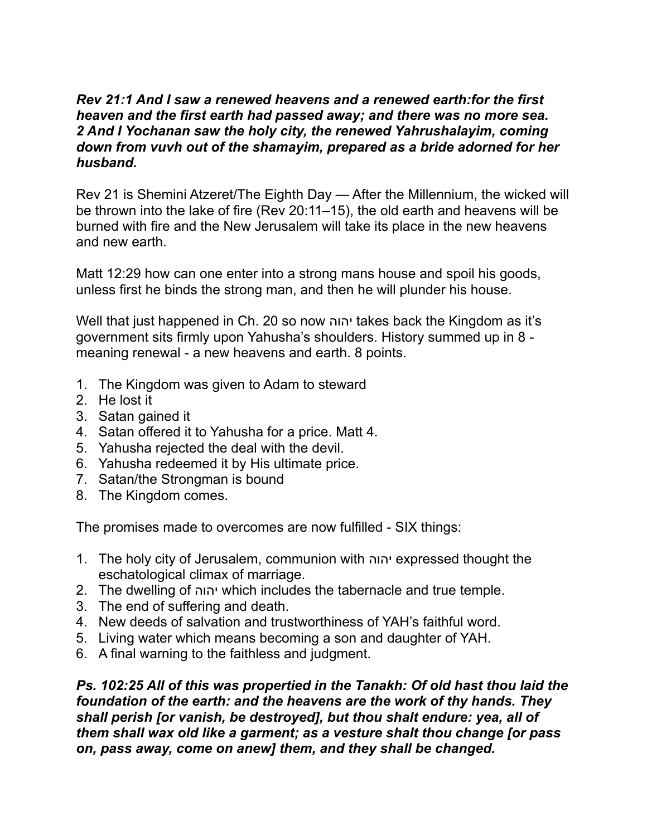## *Rev 21:1 And I saw a renewed heavens and a renewed earth:for the first heaven and the first earth had passed away; and there was no more sea. 2 And I Yochanan saw the holy city, the renewed Yahrushalayim, coming down from vuvh out of the shamayim, prepared as a bride adorned for her husband.*

Rev 21 is Shemini Atzeret/The Eighth Day — After the Millennium, the wicked will be thrown into the lake of fire (Rev 20:11–15), the old earth and heavens will be burned with fire and the New Jerusalem will take its place in the new heavens and new earth.

Matt 12:29 how can one enter into a strong mans house and spoil his goods, unless first he binds the strong man, and then he will plunder his house.

Well that just happened in Ch. 20 so now יהוה takes back the Kingdom as it's government sits firmly upon Yahusha's shoulders. History summed up in 8 meaning renewal - a new heavens and earth. 8 points.

- 1. The Kingdom was given to Adam to steward
- 2. He lost it
- 3. Satan gained it
- 4. Satan offered it to Yahusha for a price. Matt 4.
- 5. Yahusha rejected the deal with the devil.
- 6. Yahusha redeemed it by His ultimate price.
- 7. Satan/the Strongman is bound
- 8. The Kingdom comes.

The promises made to overcomes are now fulfilled - SIX things:

- 1. The holy city of Jerusalem, communion with יהוה expressed thought the eschatological climax of marriage.
- 2. The dwelling of יהוה which includes the tabernacle and true temple.
- 3. The end of suffering and death.
- 4. New deeds of salvation and trustworthiness of YAH's faithful word.
- 5. Living water which means becoming a son and daughter of YAH.
- 6. A final warning to the faithless and judgment.

*Ps. 102:25 All of this was propertied in the Tanakh: Of old hast thou laid the foundation of the earth: and the heavens are the work of thy hands. They shall perish [or vanish, be destroyed], but thou shalt endure: yea, all of them shall wax old like a garment; as a vesture shalt thou change [or pass on, pass away, come on anew] them, and they shall be changed.*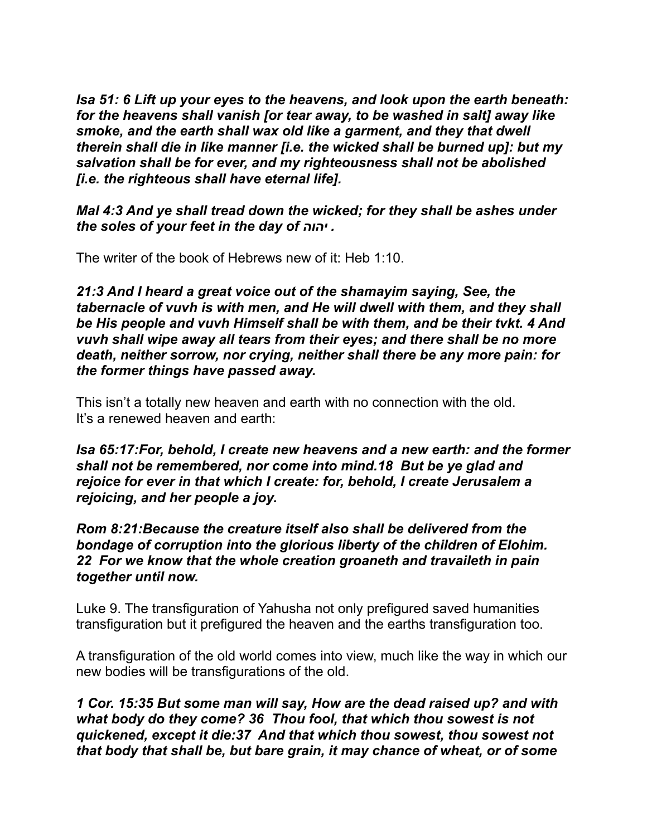*Isa 51: 6 Lift up your eyes to the heavens, and look upon the earth beneath: for the heavens shall vanish [or tear away, to be washed in salt] away like smoke, and the earth shall wax old like a garment, and they that dwell therein shall die in like manner [i.e. the wicked shall be burned up]: but my salvation shall be for ever, and my righteousness shall not be abolished [i.e. the righteous shall have eternal life].* 

*Mal 4:3 And ye shall tread down the wicked; for they shall be ashes under the soles of your feet in the day of יהוה .* 

The writer of the book of Hebrews new of it: Heb 1:10.

*21:3 And I heard a great voice out of the shamayim saying, See, the tabernacle of vuvh is with men, and He will dwell with them, and they shall be His people and vuvh Himself shall be with them, and be their tvkt. 4 And vuvh shall wipe away all tears from their eyes; and there shall be no more death, neither sorrow, nor crying, neither shall there be any more pain: for the former things have passed away.* 

This isn't a totally new heaven and earth with no connection with the old. It's a renewed heaven and earth:

*Isa 65:17:For, behold, I create new heavens and a new earth: and the former shall not be remembered, nor come into mind.18 But be ye glad and rejoice for ever in that which I create: for, behold, I create Jerusalem a rejoicing, and her people a joy.* 

*Rom 8:21:Because the creature itself also shall be delivered from the bondage of corruption into the glorious liberty of the children of Elohim. 22 For we know that the whole creation groaneth and travaileth in pain together until now.* 

Luke 9. The transfiguration of Yahusha not only prefigured saved humanities transfiguration but it prefigured the heaven and the earths transfiguration too.

A transfiguration of the old world comes into view, much like the way in which our new bodies will be transfigurations of the old.

*1 Cor. 15:35 But some man will say, How are the dead raised up? and with what body do they come? 36 Thou fool, that which thou sowest is not quickened, except it die:37 And that which thou sowest, thou sowest not that body that shall be, but bare grain, it may chance of wheat, or of some*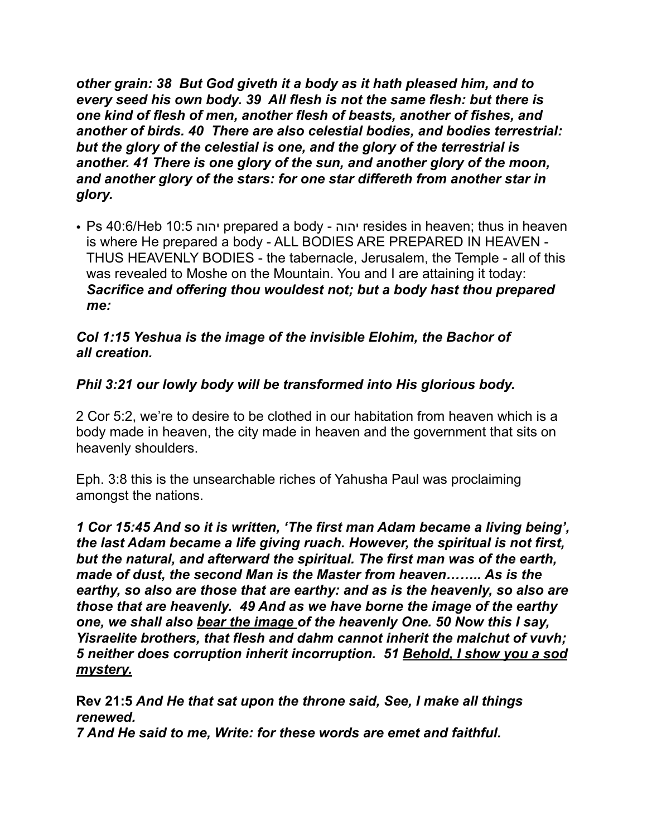*other grain: 38 But God giveth it a body as it hath pleased him, and to every seed his own body. 39 All flesh is not the same flesh: but there is one kind of flesh of men, another flesh of beasts, another of fishes, and another of birds. 40 There are also celestial bodies, and bodies terrestrial: but the glory of the celestial is one, and the glory of the terrestrial is another. 41 There is one glory of the sun, and another glory of the moon, and another glory of the stars: for one star differeth from another star in glory.* 

• Ps 40:6/Heb 10:5 יהוה prepared a body - יהוה resides in heaven; thus in heaven is where He prepared a body - ALL BODIES ARE PREPARED IN HEAVEN - THUS HEAVENLY BODIES - the tabernacle, Jerusalem, the Temple - all of this was revealed to Moshe on the Mountain. You and I are attaining it today: *Sacrifice and offering thou wouldest not; but a body hast thou prepared me:*

# *Col 1:15 Yeshua is the image of the invisible Elohim, the Bachor of all creation.*

# *Phil 3:21 our lowly body will be transformed into His glorious body.*

2 Cor 5:2, we're to desire to be clothed in our habitation from heaven which is a body made in heaven, the city made in heaven and the government that sits on heavenly shoulders.

Eph. 3:8 this is the unsearchable riches of Yahusha Paul was proclaiming amongst the nations.

*1 Cor 15:45 And so it is written, 'The first man Adam became a living being', the last Adam became a life giving ruach. However, the spiritual is not first, but the natural, and afterward the spiritual. The first man was of the earth, made of dust, the second Man is the Master from heaven…….. As is the earthy, so also are those that are earthy: and as is the heavenly, so also are those that are heavenly. 49 And as we have borne the image of the earthy one, we shall also bear the image of the heavenly One. 50 Now this I say, Yisraelite brothers, that flesh and dahm cannot inherit the malchut of vuvh; 5 neither does corruption inherit incorruption. 51 Behold, I show you a sod mystery.* 

**Rev 21:5** *And He that sat upon the throne said, See, I make all things renewed.* 

*7 And He said to me, Write: for these words are emet and faithful.*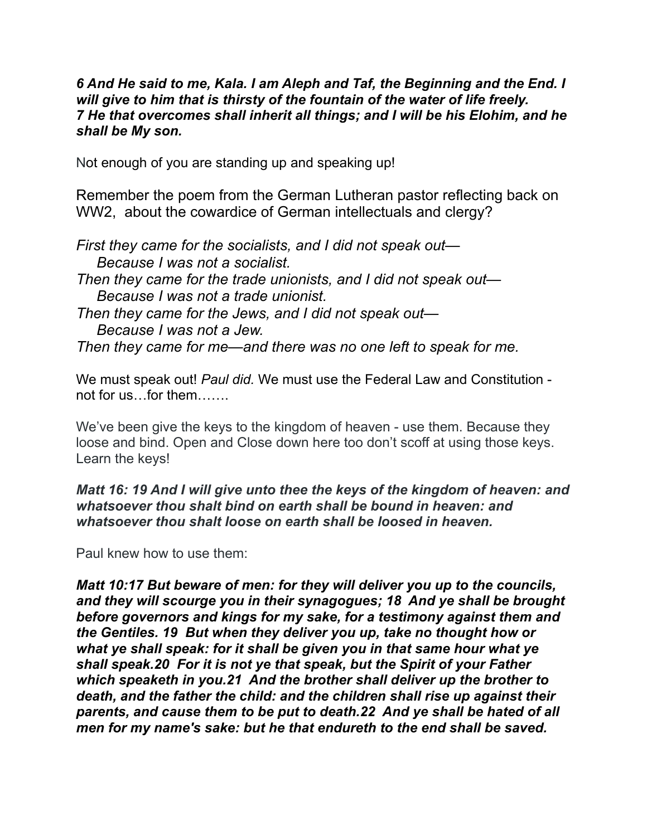*6 And He said to me, Kala. I am Aleph and Taf, the Beginning and the End. I will give to him that is thirsty of the fountain of the water of life freely. 7 He that overcomes shall inherit all things; and I will be his Elohim, and he shall be My son.* 

Not enough of you are standing up and speaking up!

Remember the poem from the German [Lutheran](https://en.wikipedia.org/wiki/Lutheranism) pastor reflecting back on WW2, about the [cowardice](https://en.wikipedia.org/wiki/Cowardice) of German [intellectuals](https://en.wikipedia.org/wiki/Intelligentsia) and clergy?

*First they came for the socialists, and I did not speak out— Because I was not a socialist.* 

*Then they came for the trade unionists, and I did not speak out— Because I was not a trade unionist.* 

*Then they came for the Jews, and I did not speak out— Because I was not a Jew.* 

*Then they came for me—and there was no one left to speak for me.* 

We must speak out! *Paul did.* We must use the Federal Law and Constitution not for us…for them…….

We've been give the keys to the kingdom of heaven - use them. Because they loose and bind. Open and Close down here too don't scoff at using those keys. Learn the keys!

## *Matt 16: 19 And I will give unto thee the keys of the kingdom of heaven: and whatsoever thou shalt bind on earth shall be bound in heaven: and whatsoever thou shalt loose on earth shall be loosed in heaven.*

Paul knew how to use them:

*Matt 10:17 But beware of men: for they will deliver you up to the councils, and they will scourge you in their synagogues; 18 And ye shall be brought before governors and kings for my sake, for a testimony against them and the Gentiles. 19 But when they deliver you up, take no thought how or what ye shall speak: for it shall be given you in that same hour what ye shall speak.20 For it is not ye that speak, but the Spirit of your Father which speaketh in you.21 And the brother shall deliver up the brother to death, and the father the child: and the children shall rise up against their parents, and cause them to be put to death.22 And ye shall be hated of all men for my name's sake: but he that endureth to the end shall be saved.*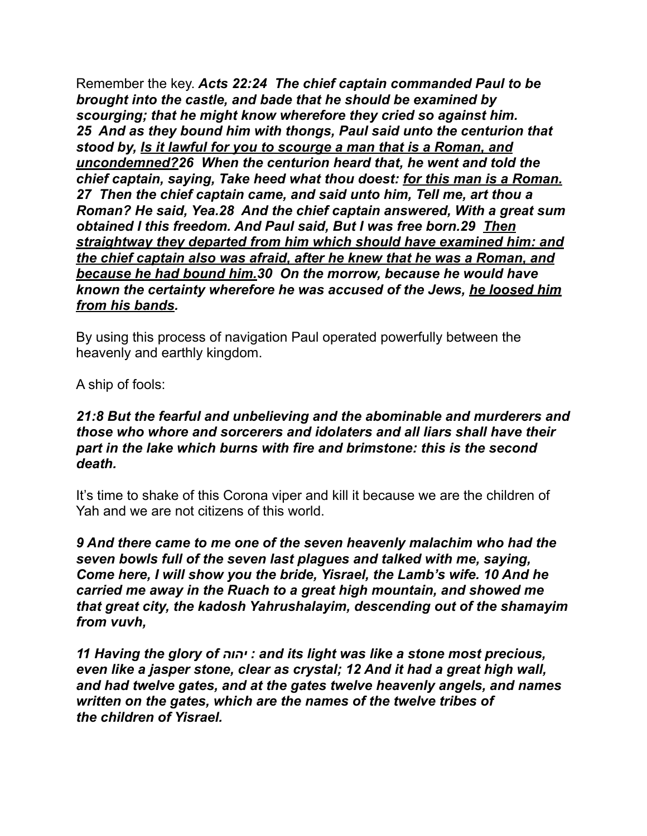Remember the key. *Acts 22:24 The chief captain commanded Paul to be brought into the castle, and bade that he should be examined by scourging; that he might know wherefore they cried so against him. 25 And as they bound him with thongs, Paul said unto the centurion that stood by, Is it lawful for you to scourge a man that is a Roman, and uncondemned?26 When the centurion heard that, he went and told the chief captain, saying, Take heed what thou doest: for this man is a Roman. 27 Then the chief captain came, and said unto him, Tell me, art thou a Roman? He said, Yea.28 And the chief captain answered, With a great sum obtained I this freedom. And Paul said, But I was free born.29 Then straightway they departed from him which should have examined him: and the chief captain also was afraid, after he knew that he was a Roman, and because he had bound him.30 On the morrow, because he would have known the certainty wherefore he was accused of the Jews, he loosed him from his bands.* 

By using this process of navigation Paul operated powerfully between the heavenly and earthly kingdom.

A ship of fools:

#### *21:8 But the fearful and unbelieving and the abominable and murderers and those who whore and sorcerers and idolaters and all liars shall have their part in the lake which burns with fire and brimstone: this is the second death.*

It's time to shake of this Corona viper and kill it because we are the children of Yah and we are not citizens of this world.

*9 And there came to me one of the seven heavenly malachim who had the seven bowls full of the seven last plagues and talked with me, saying, Come here, I will show you the bride, Yisrael, the Lamb's wife. 10 And he carried me away in the Ruach to a great high mountain, and showed me that great city, the kadosh Yahrushalayim, descending out of the shamayim from vuvh,* 

*11 Having the glory of יהוה : and its light was like a stone most precious, even like a jasper stone, clear as crystal; 12 And it had a great high wall, and had twelve gates, and at the gates twelve heavenly angels, and names written on the gates, which are the names of the twelve tribes of the children of Yisrael.*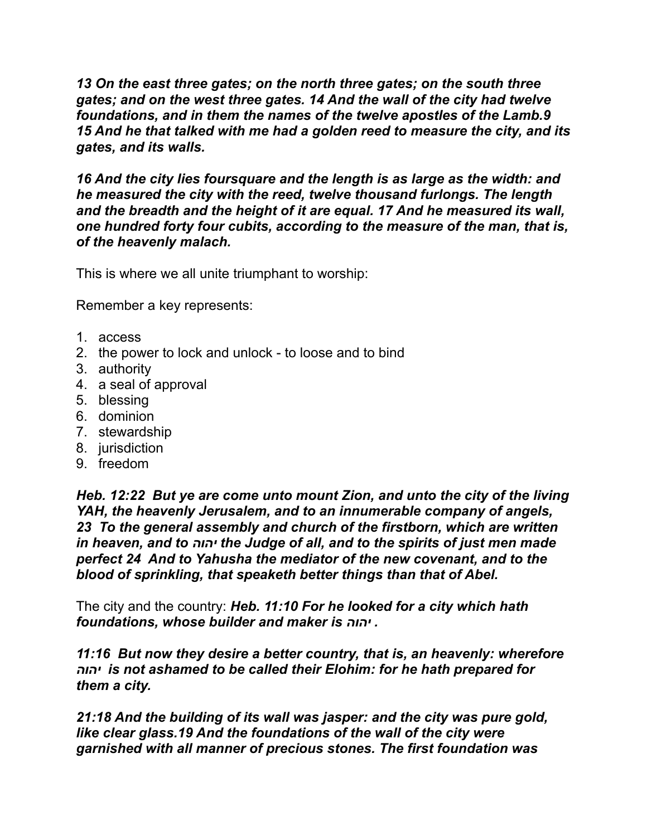*13 On the east three gates; on the north three gates; on the south three gates; and on the west three gates. 14 And the wall of the city had twelve foundations, and in them the names of the twelve apostles of the Lamb.9 15 And he that talked with me had a golden reed to measure the city, and its gates, and its walls.* 

*16 And the city lies foursquare and the length is as large as the width: and he measured the city with the reed, twelve thousand furlongs. The length and the breadth and the height of it are equal. 17 And he measured its wall, one hundred forty four cubits, according to the measure of the man, that is, of the heavenly malach.* 

This is where we all unite triumphant to worship:

Remember a key represents:

- 1. access
- 2. the power to lock and unlock to loose and to bind
- 3. authority
- 4. a seal of approval
- 5. blessing
- 6. dominion
- 7. stewardship
- 8. jurisdiction
- 9. freedom

*Heb. 12:22 But ye are come unto mount Zion, and unto the city of the living YAH, the heavenly Jerusalem, and to an innumerable company of angels, 23 To the general assembly and church of the firstborn, which are written in heaven, and to יהוה the Judge of all, and to the spirits of just men made perfect 24 And to Yahusha the mediator of the new covenant, and to the blood of sprinkling, that speaketh better things than that of Abel.* 

The city and the country: *Heb. 11:10 For he looked for a city which hath foundations, whose builder and maker is יהוה .* 

*11:16 But now they desire a better country, that is, an heavenly: wherefore יהוה is not ashamed to be called their Elohim: for he hath prepared for them a city.* 

*21:18 And the building of its wall was jasper: and the city was pure gold, like clear glass.19 And the foundations of the wall of the city were garnished with all manner of precious stones. The first foundation was*